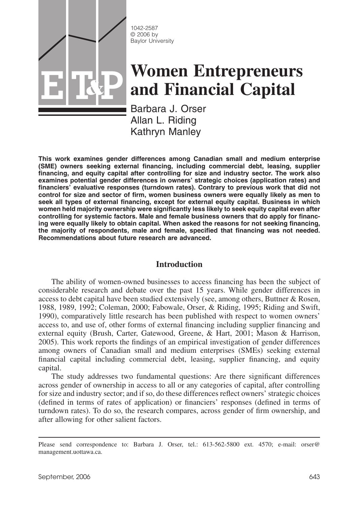

1042-2587 © 2006 by Baylor University

# **Women Entrepreneurs and Financial Capital**

Barbara J. Orser Allan L. Riding Kathryn Manley

**This work examines gender differences among Canadian small and medium enterprise (SME) owners seeking external financing, including commercial debt, leasing, supplier financing, and equity capital after controlling for size and industry sector. The work also examines potential gender differences in owners' strategic choices (application rates) and financiers' evaluative responses (turndown rates). Contrary to previous work that did not control for size and sector of firm, women business owners were equally likely as men to seek all types of external financing, except for external equity capital. Business in which women held majority ownership were significantly less likely to seek equity capital even after controlling for systemic factors. Male and female business owners that do apply for financing were equally likely to obtain capital. When asked the reasons for not seeking financing, the majority of respondents, male and female, specified that financing was not needed. Recommendations about future research are advanced.**

#### **Introduction**

The ability of women-owned businesses to access financing has been the subject of considerable research and debate over the past 15 years. While gender differences in access to debt capital have been studied extensively (see, among others, Buttner & Rosen, 1988, 1989, 1992; Coleman, 2000; Fabowale, Orser, & Riding, 1995; Riding and Swift, 1990), comparatively little research has been published with respect to women owners' access to, and use of, other forms of external financing including supplier financing and external equity (Brush, Carter, Gatewood, Greene, & Hart, 2001; Mason & Harrison, 2005). This work reports the findings of an empirical investigation of gender differences among owners of Canadian small and medium enterprises (SMEs) seeking external financial capital including commercial debt, leasing, supplier financing, and equity capital.

The study addresses two fundamental questions: Are there significant differences across gender of ownership in access to all or any categories of capital, after controlling for size and industry sector; and if so, do these differences reflect owners' strategic choices (defined in terms of rates of application) or financiers' responses (defined in terms of turndown rates). To do so, the research compares, across gender of firm ownership, and after allowing for other salient factors.

Please send correspondence to: Barbara J. Orser, tel.: 613-562-5800 ext. 4570; e-mail: orser@ management.uottawa.ca.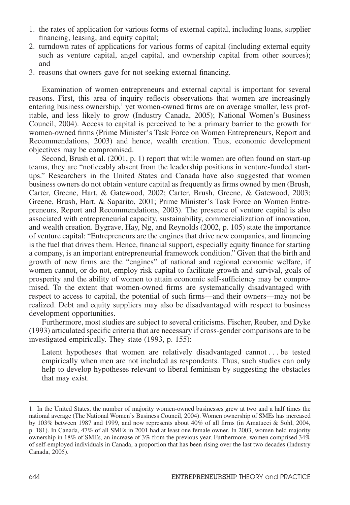- 1. the rates of application for various forms of external capital, including loans, supplier financing, leasing, and equity capital;
- 2. turndown rates of applications for various forms of capital (including external equity such as venture capital, angel capital, and ownership capital from other sources); and
- 3. reasons that owners gave for not seeking external financing.

Examination of women entrepreneurs and external capital is important for several reasons. First, this area of inquiry reflects observations that women are increasingly entering business ownership,<sup>1</sup> yet women-owned firms are on average smaller, less profitable, and less likely to grow (Industry Canada, 2005); National Women's Business Council, 2004). Access to capital is perceived to be a primary barrier to the growth for women-owned firms (Prime Minister's Task Force on Women Entrepreneurs, Report and Recommendations, 2003) and hence, wealth creation. Thus, economic development objectives may be compromised.

Second, Brush et al. (2001, p. 1) report that while women are often found on start-up teams, they are "noticeably absent from the leadership positions in venture-funded startups." Researchers in the United States and Canada have also suggested that women business owners do not obtain venture capital as frequently as firms owned by men (Brush, Carter, Greene, Hart, & Gatewood, 2002; Carter, Brush, Greene, & Gatewood, 2003; Greene, Brush, Hart, & Saparito, 2001; Prime Minister's Task Force on Women Entrepreneurs, Report and Recommendations, 2003). The presence of venture capital is also associated with entrepreneurial capacity, sustainability, commercialization of innovation, and wealth creation. Bygrave, Hay, Ng, and Reynolds (2002, p. 105) state the importance of venture capital: "Entrepreneurs are the engines that drive new companies, and financing is the fuel that drives them. Hence, financial support, especially equity finance for starting a company, is an important entrepreneurial framework condition." Given that the birth and growth of new firms are the "engines" of national and regional economic welfare, if women cannot, or do not, employ risk capital to facilitate growth and survival, goals of prosperity and the ability of women to attain economic self-sufficiency may be compromised. To the extent that women-owned firms are systematically disadvantaged with respect to access to capital, the potential of such firms—and their owners—may not be realized. Debt and equity suppliers may also be disadvantaged with respect to business development opportunities.

Furthermore, most studies are subject to several criticisms. Fischer, Reuber, and Dyke (1993) articulated specific criteria that are necessary if cross-gender comparisons are to be investigated empirically. They state (1993, p. 155):

Latent hypotheses that women are relatively disadvantaged cannot . . . be tested empirically when men are not included as respondents. Thus, such studies can only help to develop hypotheses relevant to liberal feminism by suggesting the obstacles that may exist.

<sup>1.</sup> In the United States, the number of majority women-owned businesses grew at two and a half times the national average (The National Women's Business Council, 2004). Women ownership of SMEs has increased by 103% between 1987 and 1999, and now represents about 40% of all firms (in Amatucci & Sohl, 2004, p. 181). In Canada, 47% of all SMEs in 2001 had at least one female owner. In 2003, women held majority ownership in 18% of SMEs, an increase of 3% from the previous year. Furthermore, women comprised 34% of self-employed individuals in Canada, a proportion that has been rising over the last two decades (Industry Canada, 2005).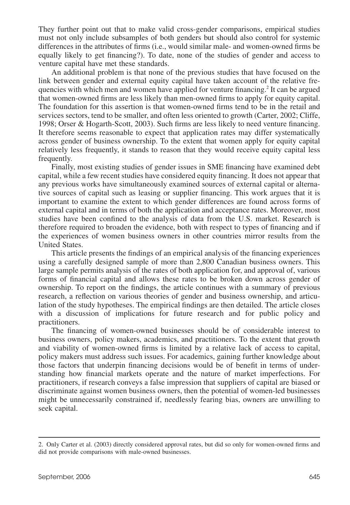They further point out that to make valid cross-gender comparisons, empirical studies must not only include subsamples of both genders but should also control for systemic differences in the attributes of firms (i.e., would similar male- and women-owned firms be equally likely to get financing?). To date, none of the studies of gender and access to venture capital have met these standards.

An additional problem is that none of the previous studies that have focused on the link between gender and external equity capital have taken account of the relative frequencies with which men and women have applied for venture financing.<sup>2</sup> It can be argued that women-owned firms are less likely than men-owned firms to apply for equity capital. The foundation for this assertion is that women-owned firms tend to be in the retail and services sectors, tend to be smaller, and often less oriented to growth (Carter, 2002; Cliffe, 1998; Orser & Hogarth-Scott, 2003). Such firms are less likely to need venture financing. It therefore seems reasonable to expect that application rates may differ systematically across gender of business ownership. To the extent that women apply for equity capital relatively less frequently, it stands to reason that they would receive equity capital less frequently.

Finally, most existing studies of gender issues in SME financing have examined debt capital, while a few recent studies have considered equity financing. It does not appear that any previous works have simultaneously examined sources of external capital or alternative sources of capital such as leasing or supplier financing. This work argues that it is important to examine the extent to which gender differences are found across forms of external capital and in terms of both the application and acceptance rates. Moreover, most studies have been confined to the analysis of data from the U.S. market. Research is therefore required to broaden the evidence, both with respect to types of financing and if the experiences of women business owners in other countries mirror results from the United States.

This article presents the findings of an empirical analysis of the financing experiences using a carefully designed sample of more than 2,800 Canadian business owners. This large sample permits analysis of the rates of both application for, and approval of, various forms of financial capital and allows these rates to be broken down across gender of ownership. To report on the findings, the article continues with a summary of previous research, a reflection on various theories of gender and business ownership, and articulation of the study hypotheses. The empirical findings are then detailed. The article closes with a discussion of implications for future research and for public policy and practitioners.

The financing of women-owned businesses should be of considerable interest to business owners, policy makers, academics, and practitioners. To the extent that growth and viability of women-owned firms is limited by a relative lack of access to capital, policy makers must address such issues. For academics, gaining further knowledge about those factors that underpin financing decisions would be of benefit in terms of understanding how financial markets operate and the nature of market imperfections. For practitioners, if research conveys a false impression that suppliers of capital are biased or discriminate against women business owners, then the potential of women-led businesses might be unnecessarily constrained if, needlessly fearing bias, owners are unwilling to seek capital.

<sup>2.</sup> Only Carter et al. (2003) directly considered approval rates, but did so only for women-owned firms and did not provide comparisons with male-owned businesses.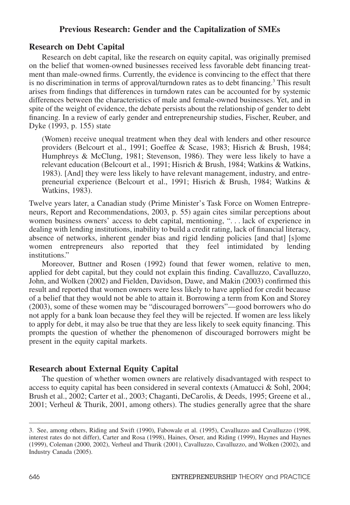#### **Previous Research: Gender and the Capitalization of SMEs**

#### **Research on Debt Capital**

Research on debt capital, like the research on equity capital, was originally premised on the belief that women-owned businesses received less favorable debt financing treatment than male-owned firms. Currently, the evidence is convincing to the effect that there is no discrimination in terms of approval/turndown rates as to debt financing.<sup>3</sup> This result arises from findings that differences in turndown rates can be accounted for by systemic differences between the characteristics of male and female-owned businesses. Yet, and in spite of the weight of evidence, the debate persists about the relationship of gender to debt financing. In a review of early gender and entrepreneurship studies, Fischer, Reuber, and Dyke (1993, p. 155) state

(Women) receive unequal treatment when they deal with lenders and other resource providers (Belcourt et al., 1991; Goeffee & Scase, 1983; Hisrich & Brush, 1984; Humphreys & McClung, 1981; Stevenson, 1986). They were less likely to have a relevant education (Belcourt et al., 1991; Hisrich & Brush, 1984; Watkins & Watkins, 1983). [And] they were less likely to have relevant management, industry, and entrepreneurial experience (Belcourt et al., 1991; Hisrich & Brush, 1984; Watkins & Watkins, 1983).

Twelve years later, a Canadian study (Prime Minister's Task Force on Women Entrepreneurs, Report and Recommendations, 2003, p. 55) again cites similar perceptions about women business owners' access to debt capital, mentioning, ". . . lack of experience in dealing with lending institutions, inability to build a credit rating, lack of financial literacy, absence of networks, inherent gender bias and rigid lending policies [and that] [s]ome women entrepreneurs also reported that they feel intimidated by lending institutions."

Moreover, Buttner and Rosen (1992) found that fewer women, relative to men, applied for debt capital, but they could not explain this finding. Cavalluzzo, Cavalluzzo, John, and Wolken (2002) and Fielden, Davidson, Dawe, and Makin (2003) confirmed this result and reported that women owners were less likely to have applied for credit because of a belief that they would not be able to attain it. Borrowing a term from Kon and Storey (2003), some of these women may be "discouraged borrowers"—good borrowers who do not apply for a bank loan because they feel they will be rejected. If women are less likely to apply for debt, it may also be true that they are less likely to seek equity financing. This prompts the question of whether the phenomenon of discouraged borrowers might be present in the equity capital markets.

#### **Research about External Equity Capital**

The question of whether women owners are relatively disadvantaged with respect to access to equity capital has been considered in several contexts (Amatucci & Sohl, 2004; Brush et al., 2002; Carter et al., 2003; Chaganti, DeCarolis, & Deeds, 1995; Greene et al., 2001; Verheul & Thurik, 2001, among others). The studies generally agree that the share

<sup>3.</sup> See, among others, Riding and Swift (1990), Fabowale et al. (1995), Cavalluzzo and Cavalluzzo (1998, interest rates do not differ), Carter and Rosa (1998), Haines, Orser, and Riding (1999), Haynes and Haynes (1999), Coleman (2000, 2002), Verheul and Thurik (2001), Cavalluzzo, Cavalluzzo, and Wolken (2002), and Industry Canada (2005).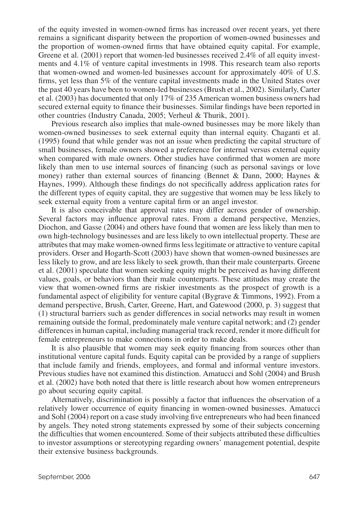of the equity invested in women-owned firms has increased over recent years, yet there remains a significant disparity between the proportion of women-owned businesses and the proportion of women-owned firms that have obtained equity capital. For example, Greene et al. (2001) report that women-led businesses received 2.4% of all equity investments and 4.1% of venture capital investments in 1998. This research team also reports that women-owned and women-led businesses account for approximately 40% of U.S. firms, yet less than 5% of the venture capital investments made in the United States over the past 40 years have been to women-led businesses (Brush et al., 2002). Similarly, Carter et al. (2003) has documented that only 17% of 235 American women business owners had secured external equity to finance their businesses. Similar findings have been reported in other countries (Industry Canada, 2005; Verheul & Thurik, 2001).

Previous research also implies that male-owned businesses may be more likely than women-owned businesses to seek external equity than internal equity. Chaganti et al. (1995) found that while gender was not an issue when predicting the capital structure of small businesses, female owners showed a preference for internal versus external equity when compared with male owners. Other studies have confirmed that women are more likely than men to use internal sources of financing (such as personal savings or love money) rather than external sources of financing (Bennet & Dann, 2000; Haynes & Haynes, 1999). Although these findings do not specifically address application rates for the different types of equity capital, they are suggestive that women may be less likely to seek external equity from a venture capital firm or an angel investor.

It is also conceivable that approval rates may differ across gender of ownership. Several factors may influence approval rates. From a demand perspective, Menzies, Diochon, and Gasse (2004) and others have found that women are less likely than men to own high-technology businesses and are less likely to own intellectual property. These are attributes that may make women-owned firms less legitimate or attractive to venture capital providers. Orser and Hogarth-Scott (2003) have shown that women-owned businesses are less likely to grow, and are less likely to seek growth, than their male counterparts. Greene et al. (2001) speculate that women seeking equity might be perceived as having different values, goals, or behaviors than their male counterparts. These attitudes may create the view that women-owned firms are riskier investments as the prospect of growth is a fundamental aspect of eligibility for venture capital (Bygrave & Timmons, 1992). From a demand perspective, Brush, Carter, Greene, Hart, and Gatewood (2000, p. 3) suggest that (1) structural barriers such as gender differences in social networks may result in women remaining outside the formal, predominately male venture capital network; and (2) gender differences in human capital, including managerial track record, render it more difficult for female entrepreneurs to make connections in order to make deals.

It is also plausible that women may seek equity financing from sources other than institutional venture capital funds. Equity capital can be provided by a range of suppliers that include family and friends, employees, and formal and informal venture investors. Previous studies have not examined this distinction. Amatucci and Sohl (2004) and Brush et al. (2002) have both noted that there is little research about how women entrepreneurs go about securing equity capital.

Alternatively, discrimination is possibly a factor that influences the observation of a relatively lower occurrence of equity financing in women-owned businesses. Amatucci and Sohl (2004) report on a case study involving five entrepreneurs who had been financed by angels. They noted strong statements expressed by some of their subjects concerning the difficulties that women encountered. Some of their subjects attributed these difficulties to investor assumptions or stereotyping regarding owners' management potential, despite their extensive business backgrounds.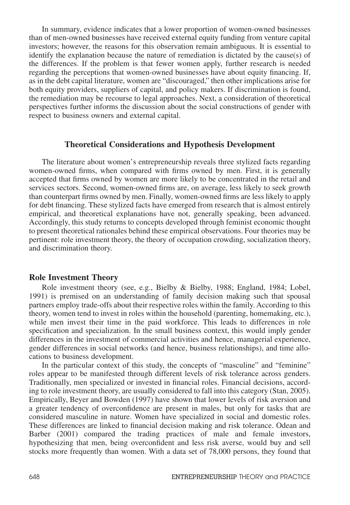In summary, evidence indicates that a lower proportion of women-owned businesses than of men-owned businesses have received external equity funding from venture capital investors; however, the reasons for this observation remain ambiguous. It is essential to identify the explanation because the nature of remediation is dictated by the cause(s) of the differences. If the problem is that fewer women apply, further research is needed regarding the perceptions that women-owned businesses have about equity financing. If, as in the debt capital literature, women are "discouraged," then other implications arise for both equity providers, suppliers of capital, and policy makers. If discrimination is found, the remediation may be recourse to legal approaches. Next, a consideration of theoretical perspectives further informs the discussion about the social constructions of gender with respect to business owners and external capital.

#### **Theoretical Considerations and Hypothesis Development**

The literature about women's entrepreneurship reveals three stylized facts regarding women-owned firms, when compared with firms owned by men. First, it is generally accepted that firms owned by women are more likely to be concentrated in the retail and services sectors. Second, women-owned firms are, on average, less likely to seek growth than counterpart firms owned by men. Finally, women-owned firms are less likely to apply for debt financing. These stylized facts have emerged from research that is almost entirely empirical, and theoretical explanations have not, generally speaking, been advanced. Accordingly, this study returns to concepts developed through feminist economic thought to present theoretical rationales behind these empirical observations. Four theories may be pertinent: role investment theory, the theory of occupation crowding, socialization theory, and discrimination theory.

#### **Role Investment Theory**

Role investment theory (see, e.g., Bielby & Bielby, 1988; England, 1984; Lobel, 1991) is premised on an understanding of family decision making such that spousal partners employ trade-offs about their respective roles within the family. According to this theory, women tend to invest in roles within the household (parenting, homemaking, etc.), while men invest their time in the paid workforce. This leads to differences in role specification and specialization. In the small business context, this would imply gender differences in the investment of commercial activities and hence, managerial experience, gender differences in social networks (and hence, business relationships), and time allocations to business development.

In the particular context of this study, the concepts of "masculine" and "feminine" roles appear to be manifested through different levels of risk tolerance across genders. Traditionally, men specialized or invested in financial roles. Financial decisions, according to role investment theory, are usually considered to fall into this category (Stan, 2005). Empirically, Beyer and Bowden (1997) have shown that lower levels of risk aversion and a greater tendency of overconfidence are present in males, but only for tasks that are considered masculine in nature. Women have specialized in social and domestic roles. These differences are linked to financial decision making and risk tolerance. Odean and Barber (2001) compared the trading practices of male and female investors, hypothesizing that men, being overconfident and less risk averse, would buy and sell stocks more frequently than women. With a data set of 78,000 persons, they found that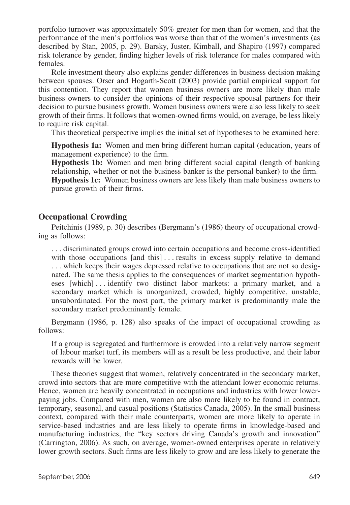portfolio turnover was approximately 50% greater for men than for women, and that the performance of the men's portfolios was worse than that of the women's investments (as described by Stan, 2005, p. 29). Barsky, Juster, Kimball, and Shapiro (1997) compared risk tolerance by gender, finding higher levels of risk tolerance for males compared with females.

Role investment theory also explains gender differences in business decision making between spouses. Orser and Hogarth-Scott (2003) provide partial empirical support for this contention. They report that women business owners are more likely than male business owners to consider the opinions of their respective spousal partners for their decision to pursue business growth. Women business owners were also less likely to seek growth of their firms. It follows that women-owned firms would, on average, be less likely to require risk capital.

This theoretical perspective implies the initial set of hypotheses to be examined here:

**Hypothesis 1a:** Women and men bring different human capital (education, years of management experience) to the firm.

**Hypothesis 1b:** Women and men bring different social capital (length of banking relationship, whether or not the business banker is the personal banker) to the firm. **Hypothesis 1c:** Women business owners are less likely than male business owners to pursue growth of their firms.

#### **Occupational Crowding**

Peitchinis (1989, p. 30) describes (Bergmann's (1986) theory of occupational crowding as follows:

. . . discriminated groups crowd into certain occupations and become cross-identified with those occupations [and this]... results in excess supply relative to demand . . . which keeps their wages depressed relative to occupations that are not so designated. The same thesis applies to the consequences of market segmentation hypotheses [which]... identify two distinct labor markets: a primary market, and a secondary market which is unorganized, crowded, highly competitive, unstable, unsubordinated. For the most part, the primary market is predominantly male the secondary market predominantly female.

Bergmann (1986, p. 128) also speaks of the impact of occupational crowding as follows:

If a group is segregated and furthermore is crowded into a relatively narrow segment of labour market turf, its members will as a result be less productive, and their labor rewards will be lower.

These theories suggest that women, relatively concentrated in the secondary market, crowd into sectors that are more competitive with the attendant lower economic returns. Hence, women are heavily concentrated in occupations and industries with lower lowerpaying jobs. Compared with men, women are also more likely to be found in contract, temporary, seasonal, and casual positions (Statistics Canada, 2005). In the small business context, compared with their male counterparts, women are more likely to operate in service-based industries and are less likely to operate firms in knowledge-based and manufacturing industries, the "key sectors driving Canada's growth and innovation" (Carrington, 2006). As such, on average, women-owned enterprises operate in relatively lower growth sectors. Such firms are less likely to grow and are less likely to generate the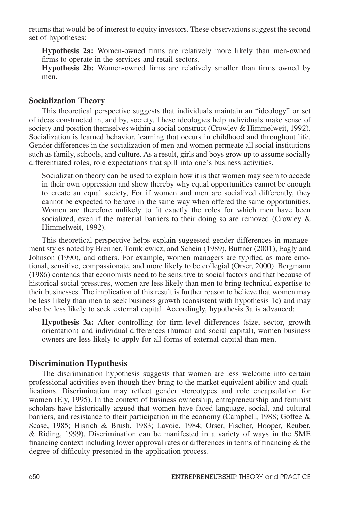returns that would be of interest to equity investors. These observations suggest the second set of hypotheses:

**Hypothesis 2a:** Women-owned firms are relatively more likely than men-owned firms to operate in the services and retail sectors.

**Hypothesis 2b:** Women-owned firms are relatively smaller than firms owned by men.

#### **Socialization Theory**

This theoretical perspective suggests that individuals maintain an "ideology" or set of ideas constructed in, and by, society. These ideologies help individuals make sense of society and position themselves within a social construct (Crowley & Himmelweit, 1992). Socialization is learned behavior, learning that occurs in childhood and throughout life. Gender differences in the socialization of men and women permeate all social institutions such as family, schools, and culture. As a result, girls and boys grow up to assume socially differentiated roles, role expectations that spill into one's business activities.

Socialization theory can be used to explain how it is that women may seem to accede in their own oppression and show thereby why equal opportunities cannot be enough to create an equal society, For if women and men are socialized differently, they cannot be expected to behave in the same way when offered the same opportunities. Women are therefore unlikely to fit exactly the roles for which men have been socialized, even if the material barriers to their doing so are removed (Crowley  $\&$ Himmelweit, 1992).

This theoretical perspective helps explain suggested gender differences in management styles noted by Brenner, Tomkiewicz, and Schein (1989), Buttner (2001), Eagly and Johnson (1990), and others. For example, women managers are typified as more emotional, sensitive, compassionate, and more likely to be collegial (Orser, 2000). Bergmann (1986) contends that economists need to be sensitive to social factors and that because of historical social pressures, women are less likely than men to bring technical expertise to their businesses. The implication of this result is further reason to believe that women may be less likely than men to seek business growth (consistent with hypothesis 1c) and may also be less likely to seek external capital. Accordingly, hypothesis 3a is advanced:

**Hypothesis 3a:** After controlling for firm-level differences (size, sector, growth orientation) and individual differences (human and social capital), women business owners are less likely to apply for all forms of external capital than men.

#### **Discrimination Hypothesis**

The discrimination hypothesis suggests that women are less welcome into certain professional activities even though they bring to the market equivalent ability and qualifications. Discrimination may reflect gender stereotypes and role encapsulation for women (Ely, 1995). In the context of business ownership, entrepreneurship and feminist scholars have historically argued that women have faced language, social, and cultural barriers, and resistance to their participation in the economy (Campbell, 1988; Goffee  $\&$ Scase, 1985; Hisrich & Brush, 1983; Lavoie, 1984; Orser, Fischer, Hooper, Reuber, & Riding, 1999). Discrimination can be manifested in a variety of ways in the SME financing context including lower approval rates or differences in terms of financing  $\&$  the degree of difficulty presented in the application process.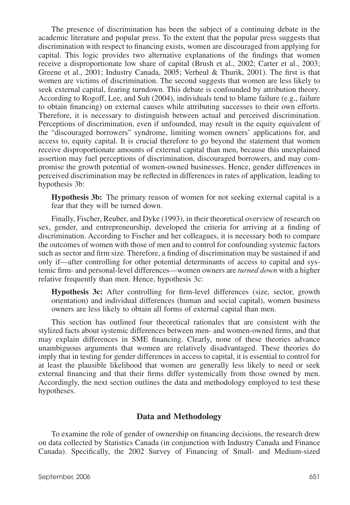The presence of discrimination has been the subject of a continuing debate in the academic literature and popular press. To the extent that the popular press suggests that discrimination with respect to financing exists, women are discouraged from applying for capital. This logic provides two alternative explanations of the findings that women receive a disproportionate low share of capital (Brush et al., 2002; Carter et al., 2003; Greene et al., 2001; Industry Canada, 2005; Verheul & Thurik, 2001). The first is that women are victims of discrimination. The second suggests that women are less likely to seek external capital, fearing turndown. This debate is confounded by attribution theory. According to Rogoff, Lee, and Suh (2004), individuals tend to blame failure (e.g., failure to obtain financing) on external causes while attributing successes to their own efforts. Therefore, it is necessary to distinguish between actual and perceived discrimination. Perceptions of discrimination, even if unfounded, may result in the equity equivalent of the "discouraged borrowers" syndrome, limiting women owners' applications for, and access to, equity capital. It is crucial therefore to go beyond the statement that women receive disproportionate amounts of external capital than men, because this unexplained assertion may fuel perceptions of discrimination, discouraged borrowers, and may compromise the growth potential of women-owned businesses. Hence, gender differences in perceived discrimination may be reflected in differences in rates of application, leading to hypothesis 3b:

**Hypothesis 3b:** The primary reason of women for not seeking external capital is a fear that they will be turned down.

Finally, Fischer, Reuber, and Dyke (1993), in their theoretical overview of research on sex, gender, and entrepreneurship, developed the criteria for arriving at a finding of discrimination. According to Fischer and her colleagues, it is necessary both to compare the outcomes of women with those of men and to control for confounding systemic factors such as sector and firm size. Therefore, a finding of discrimination may be sustained if and only if—after controlling for other potential determinants of access to capital and systemic firm- and personal-level differences—women owners are *turned down* with a higher relative frequently than men. Hence, hypothesis 3c:

**Hypothesis 3c:** After controlling for firm-level differences (size, sector, growth orientation) and individual differences (human and social capital), women business owners are less likely to obtain all forms of external capital than men.

This section has outlined four theoretical rationales that are consistent with the stylized facts about systemic differences between men- and women-owned firms, and that may explain differences in SME financing. Clearly, none of these theories advance unambiguous arguments that women are relatively disadvantaged. These theories do imply that in testing for gender differences in access to capital, it is essential to control for at least the plausible likelihood that women are generally less likely to need or seek external financing and that their firms differ systemically from those owned by men. Accordingly, the next section outlines the data and methodology employed to test these hypotheses.

#### **Data and Methodology**

To examine the role of gender of ownership on financing decisions, the research drew on data collected by Statistics Canada (in conjunction with Industry Canada and Finance Canada). Specifically, the 2002 Survey of Financing of Small- and Medium-sized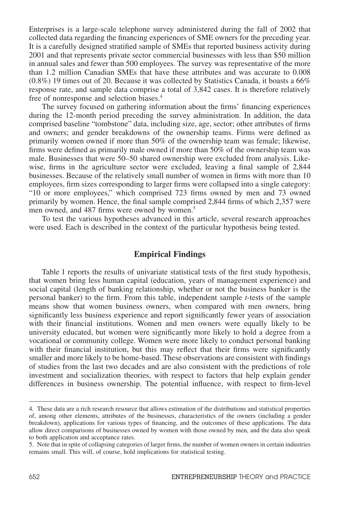Enterprises is a large-scale telephone survey administered during the fall of 2002 that collected data regarding the financing experiences of SME owners for the preceding year. It is a carefully designed stratified sample of SMEs that reported business activity during 2001 and that represents private sector commercial businesses with less than \$50 million in annual sales and fewer than 500 employees. The survey was representative of the more than 1.2 million Canadian SMEs that have these attributes and was accurate to 0.008 (0.8%) 19 times out of 20. Because it was collected by Statistics Canada, it boasts a 66% response rate, and sample data comprise a total of 3,842 cases. It is therefore relatively free of nonresponse and selection biases.<sup>4</sup>

The survey focused on gathering information about the firms' financing experiences during the 12-month period preceding the survey administration. In addition, the data comprised baseline "tombstone" data, including size, age, sector; other attributes of firms and owners; and gender breakdowns of the ownership teams. Firms were defined as primarily women owned if more than 50% of the ownership team was female; likewise, firms were defined as primarily male owned if more than 50% of the ownership team was male. Businesses that were 50–50 shared ownership were excluded from analysis. Likewise, firms in the agriculture sector were excluded, leaving a final sample of 2,844 businesses. Because of the relatively small number of women in firms with more than 10 employees, firm sizes corresponding to larger firms were collapsed into a single category: "10 or more employees," which comprised 723 firms owned by men and 73 owned primarily by women. Hence, the final sample comprised 2,844 firms of which 2,357 were men owned, and 487 firms were owned by women.<sup>5</sup>

To test the various hypotheses advanced in this article, several research approaches were used. Each is described in the context of the particular hypothesis being tested.

#### **Empirical Findings**

Table 1 reports the results of univariate statistical tests of the first study hypothesis, that women bring less human capital (education, years of management experience) and social capital (length of banking relationship, whether or not the business banker is the personal banker) to the firm. From this table, independent sample *t*-tests of the sample means show that women business owners, when compared with men owners, bring significantly less business experience and report significantly fewer years of association with their financial institutions. Women and men owners were equally likely to be university educated, but women were significantly more likely to hold a degree from a vocational or community college. Women were more likely to conduct personal banking with their financial institution, but this may reflect that their firms were significantly smaller and more likely to be home-based. These observations are consistent with findings of studies from the last two decades and are also consistent with the predictions of role investment and socialization theories, with respect to factors that help explain gender differences in business ownership. The potential influence, with respect to firm-level

<sup>4.</sup> These data are a rich research resource that allows estimation of the distributions and statistical properties of, among other elements, attributes of the businesses, characteristics of the owners (including a gender breakdown), applications for various types of financing, and the outcomes of these applications. The data allow direct comparisons of businesses owned by women with those owned by men, and the data also speak to both application and acceptance rates.

<sup>5.</sup> Note that in spite of collapsing categories of larger firms, the number of women owners in certain industries remains small. This will, of course, hold implications for statistical testing.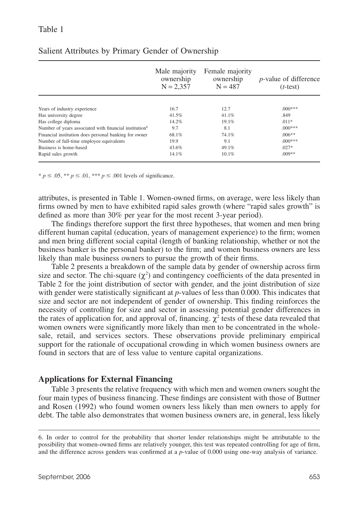|                                                                    | Male majority<br>ownership<br>$N = 2,357$ | Female majority<br>ownership<br>$N = 487$ | $p$ -value of difference<br>$(t$ -test) |
|--------------------------------------------------------------------|-------------------------------------------|-------------------------------------------|-----------------------------------------|
|                                                                    |                                           |                                           |                                         |
| Years of industry experience                                       | 16.7                                      | 12.7                                      | $.000***$                               |
| Has university degree                                              | 41.5%                                     | 41.1%                                     | .849                                    |
| Has college diploma                                                | 14.2%                                     | 19.1%                                     | $.011*$                                 |
| Number of years associated with financial institution <sup>6</sup> | 9.7                                       | 8.1                                       | $.000***$                               |
| Financial institution does personal banking for owner              | 68.1%                                     | 74.1%                                     | $.006**$                                |
| Number of full-time employee equivalents                           | 19.9                                      | 9.1                                       | $.000***$                               |
| Business is home-based                                             | 43.6%                                     | 49.1%                                     | $.027*$                                 |
| Rapid sales growth                                                 | 14.1%                                     | 10.1%                                     | $.009**$                                |

#### Salient Attributes by Primary Gender of Ownership

 $* p \le 0.05$ ,  $* p \le 0.01$ ,  $* * p \le 0.001$  levels of significance.

attributes, is presented in Table 1. Women-owned firms, on average, were less likely than firms owned by men to have exhibited rapid sales growth (where "rapid sales growth" is defined as more than 30% per year for the most recent 3-year period).

The findings therefore support the first three hypotheses, that women and men bring different human capital (education, years of management experience) to the firm; women and men bring different social capital (length of banking relationship, whether or not the business banker is the personal banker) to the firm; and women business owners are less likely than male business owners to pursue the growth of their firms.

Table 2 presents a breakdown of the sample data by gender of ownership across firm size and sector. The chi-square  $(\chi^2)$  and contingency coefficients of the data presented in Table 2 for the joint distribution of sector with gender, and the joint distribution of size with gender were statistically significant at *p*-values of less than 0.000. This indicates that size and sector are not independent of gender of ownership. This finding reinforces the necessity of controlling for size and sector in assessing potential gender differences in the rates of application for, and approval of, financing.  $\chi^2$  tests of these data revealed that women owners were significantly more likely than men to be concentrated in the wholesale, retail, and services sectors. These observations provide preliminary empirical support for the rationale of occupational crowding in which women business owners are found in sectors that are of less value to venture capital organizations.

#### **Applications for External Financing**

Table 3 presents the relative frequency with which men and women owners sought the four main types of business financing. These findings are consistent with those of Buttner and Rosen (1992) who found women owners less likely than men owners to apply for debt. The table also demonstrates that women business owners are, in general, less likely

<sup>6.</sup> In order to control for the probability that shorter lender relationships might be attributable to the possibility that women-owned firms are relatively younger, this test was repeated controlling for age of firm, and the difference across genders was confirmed at a *p*-value of 0.000 using one-way analysis of variance.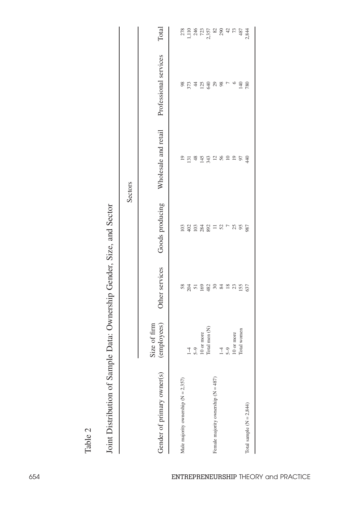Table 2

| ļ                                                                                  |
|------------------------------------------------------------------------------------|
| $\ddotsc$                                                                          |
| i<br>2<br>$\frac{1}{\zeta}$                                                        |
| to you can you and you have<br>I                                                   |
| í                                                                                  |
| $-2.777722$                                                                        |
|                                                                                    |
| :<br>}<br>}<br>$\Gamma_{\alpha t}$<br>$\sqrt{2}$                                   |
| İ<br>j                                                                             |
| I                                                                                  |
| $1000 + 10$                                                                        |
|                                                                                    |
| ֧֧֧֧֧֧֖֛֛֛֛֧֧֧֧֛֚֝֝֬֝֬֝֓֬֝֓֬֝֓֬֓֓֬֝֓֝֬֝֓֬֝֓֬֝֓֬֝֓֬֝֓֝֬֝֓֝֬֝֓֬֝֬֝֬֝֬֝֓֝֓֝֬֝֬֝֬֝֬֝֬֝ |

|                                       |                                                                 |                            |                 | Sectors                                                                                                        |                       |       |
|---------------------------------------|-----------------------------------------------------------------|----------------------------|-----------------|----------------------------------------------------------------------------------------------------------------|-----------------------|-------|
| Gender of primary owner(s)            | (employees)<br>of firm<br>Size                                  | Other services             | Goods producing | Wholesale and retail                                                                                           | Professional services | Total |
| Male majority ownership $(N = 2,357)$ |                                                                 |                            |                 |                                                                                                                |                       |       |
|                                       | $\overline{1}$                                                  |                            |                 |                                                                                                                |                       |       |
|                                       | $5 - 9$                                                         |                            |                 |                                                                                                                |                       |       |
|                                       | more<br>$10$ or                                                 |                            |                 |                                                                                                                |                       |       |
|                                       | men (N)<br>Total                                                | ឌ 3 ័ ។ ៩ ៦ និង ១ ដូ ១ និង |                 | $2\frac{1}{2}$ 3 $\frac{1}{3}$ 3 $\frac{1}{2}$ 3 $\frac{1}{2}$ 3 $\frac{1}{2}$ 3 $\frac{1}{2}$ 3 $\frac{1}{2}$ | 80.74738866767        |       |
| Female majority ownership $(N = 487)$ |                                                                 |                            |                 |                                                                                                                |                       |       |
|                                       |                                                                 |                            |                 |                                                                                                                |                       |       |
|                                       | $\begin{array}{c}\n\uparrow \\ \uparrow \\ 0 \\ 0\n\end{array}$ |                            |                 |                                                                                                                |                       |       |
|                                       | more                                                            |                            |                 |                                                                                                                |                       |       |
|                                       | women<br>Total                                                  |                            |                 |                                                                                                                |                       |       |
| Total sample $(N = 2.844)$            |                                                                 |                            | 987             |                                                                                                                | 780                   |       |
|                                       |                                                                 |                            |                 |                                                                                                                |                       |       |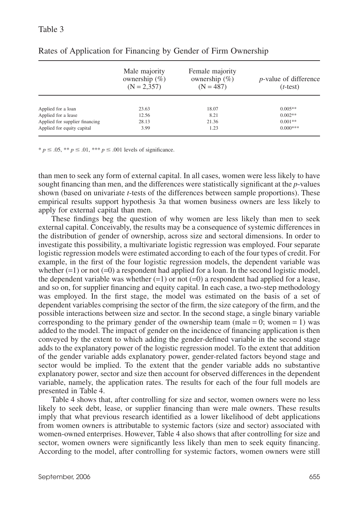|                                | Male majority<br>ownership $(\% )$<br>$(N = 2,357)$ | Female majority<br>ownership $(\% )$<br>$(N = 487)$ | <i>p</i> -value of difference<br>$(t$ -test) |
|--------------------------------|-----------------------------------------------------|-----------------------------------------------------|----------------------------------------------|
| Applied for a loan             | 23.63                                               | 18.07                                               | $0.005**$                                    |
| Applied for a lease            | 12.56                                               | 8.21                                                | $0.002**$                                    |
| Applied for supplier financing | 28.13                                               | 21.36                                               | $0.001**$                                    |
| Applied for equity capital     | 3.99                                                | 1.23                                                | $0.000***$                                   |

#### Rates of Application for Financing by Gender of Firm Ownership

 $* p \le 0.05, ** p \le 0.01, *** p \le 0.001$  levels of significance.

than men to seek any form of external capital. In all cases, women were less likely to have sought financing than men, and the differences were statistically significant at the *p*-values shown (based on univariate *t*-tests of the differences between sample proportions). These empirical results support hypothesis 3a that women business owners are less likely to apply for external capital than men.

These findings beg the question of why women are less likely than men to seek external capital. Conceivably, the results may be a consequence of systemic differences in the distribution of gender of ownership, across size and sectoral dimensions. In order to investigate this possibility, a multivariate logistic regression was employed. Four separate logistic regression models were estimated according to each of the four types of credit. For example, in the first of the four logistic regression models, the dependent variable was whether  $(=1)$  or not  $(=0)$  a respondent had applied for a loan. In the second logistic model, the dependent variable was whether  $(=1)$  or not  $(=0)$  a respondent had applied for a lease, and so on, for supplier financing and equity capital. In each case, a two-step methodology was employed. In the first stage, the model was estimated on the basis of a set of dependent variables comprising the sector of the firm, the size category of the firm, and the possible interactions between size and sector. In the second stage, a single binary variable corresponding to the primary gender of the ownership team (male  $= 0$ ; women  $= 1$ ) was added to the model. The impact of gender on the incidence of financing application is then conveyed by the extent to which adding the gender-defined variable in the second stage adds to the explanatory power of the logistic regression model. To the extent that addition of the gender variable adds explanatory power, gender-related factors beyond stage and sector would be implied. To the extent that the gender variable adds no substantive explanatory power, sector and size then account for observed differences in the dependent variable, namely, the application rates. The results for each of the four full models are presented in Table 4.

Table 4 shows that, after controlling for size and sector, women owners were no less likely to seek debt, lease, or supplier financing than were male owners. These results imply that what previous research identified as a lower likelihood of debt applications from women owners is attributable to systemic factors (size and sector) associated with women-owned enterprises. However, Table 4 also shows that after controlling for size and sector, women owners were significantly less likely than men to seek equity financing. According to the model, after controlling for systemic factors, women owners were still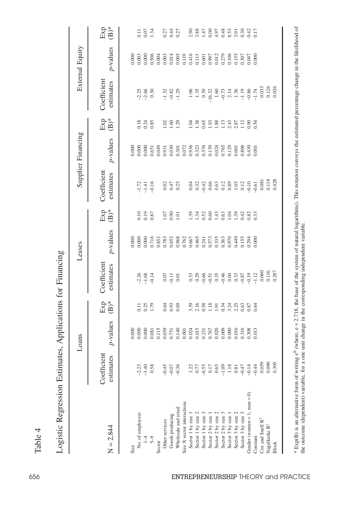Table 4

| Ramachina Hefimatae Ampiration for Heinanonne |
|-----------------------------------------------|
|                                               |
|                                               |
| ć,                                            |
| ļ                                             |

|                                                                                      |                          | <b>Oans</b> |                                    |                                                                                                                                                                                                                                                                                    | Leases   |                       |                               | Supplier Financing |                                                    |                                                                                                                                                                                                                                                                                                               | External Equity  |                                                                                                                                                                                                                        |
|--------------------------------------------------------------------------------------|--------------------------|-------------|------------------------------------|------------------------------------------------------------------------------------------------------------------------------------------------------------------------------------------------------------------------------------------------------------------------------------|----------|-----------------------|-------------------------------|--------------------|----------------------------------------------------|---------------------------------------------------------------------------------------------------------------------------------------------------------------------------------------------------------------------------------------------------------------------------------------------------------------|------------------|------------------------------------------------------------------------------------------------------------------------------------------------------------------------------------------------------------------------|
| $N = 2,844$                                                                          | Coefficient<br>estimates | $p$ -values | $\mathrm{Exp}^*$ (B)*              | Coefficient<br>estimates                                                                                                                                                                                                                                                           | p-values | $\mathrm{Exp}^*$ (B)* | Coefficient<br>estimates      | p-values           | $\mathrm{Exp}^*$ (B)*                              | Coefficient<br>estimates                                                                                                                                                                                                                                                                                      | <i>p</i> -values | $\mathop{\mathrm{Exp}}\limits_{(\mathrm{B})^*}$                                                                                                                                                                        |
|                                                                                      |                          |             |                                    |                                                                                                                                                                                                                                                                                    |          |                       |                               |                    |                                                    |                                                                                                                                                                                                                                                                                                               |                  |                                                                                                                                                                                                                        |
| No. of employees<br>Size                                                             | $-2.23$                  |             |                                    |                                                                                                                                                                                                                                                                                    |          |                       |                               |                    |                                                    |                                                                                                                                                                                                                                                                                                               |                  |                                                                                                                                                                                                                        |
| $\overline{1}$                                                                       | $-1.40$                  |             | 0.11<br>0.25<br>1.79               | $-2.36$<br>$-1.68$<br>$-0.14$                                                                                                                                                                                                                                                      |          | 28.0<br>61.0<br>78.7  | $-1.72$<br>$-1.41$<br>$-0.16$ |                    | 0.18<br>0.24<br>0.85                               | 2.25<br>2.36<br>2.30                                                                                                                                                                                                                                                                                          |                  | 11<br>0.07<br>1.34                                                                                                                                                                                                     |
| $5-9$                                                                                | 0.58                     |             |                                    |                                                                                                                                                                                                                                                                                    |          |                       |                               |                    |                                                    |                                                                                                                                                                                                                                                                                                               |                  |                                                                                                                                                                                                                        |
| Sector                                                                               |                          |             |                                    |                                                                                                                                                                                                                                                                                    |          |                       |                               |                    |                                                    |                                                                                                                                                                                                                                                                                                               |                  |                                                                                                                                                                                                                        |
| Other services                                                                       | $-0.45$                  |             |                                    | 0.07                                                                                                                                                                                                                                                                               |          | 1.07                  | 0.02                          |                    | 1.02                                               |                                                                                                                                                                                                                                                                                                               |                  |                                                                                                                                                                                                                        |
| Goods producing                                                                      | $-0.07$                  |             | $0.64$<br>0.93                     | $-0.11$<br>0.01                                                                                                                                                                                                                                                                    |          | $0.90$<br>1.01        | $0.47$<br>0.25                |                    | $1.60$<br>$1.29$                                   | .32 8 2<br>- 구 32<br>- 구 구                                                                                                                                                                                                                                                                                    |                  | 0.31<br>0.47<br>0.57                                                                                                                                                                                                   |
| Wholesale and retail                                                                 |                          |             |                                    |                                                                                                                                                                                                                                                                                    |          |                       |                               |                    |                                                    |                                                                                                                                                                                                                                                                                                               |                  |                                                                                                                                                                                                                        |
| Size X sector interactions                                                           |                          |             |                                    |                                                                                                                                                                                                                                                                                    |          |                       |                               |                    |                                                    |                                                                                                                                                                                                                                                                                                               |                  |                                                                                                                                                                                                                        |
| Sector 1 by size                                                                     |                          |             |                                    |                                                                                                                                                                                                                                                                                    |          |                       |                               |                    |                                                    |                                                                                                                                                                                                                                                                                                               |                  |                                                                                                                                                                                                                        |
| Sector 1 by size 2                                                                   |                          |             |                                    |                                                                                                                                                                                                                                                                                    |          |                       |                               |                    |                                                    |                                                                                                                                                                                                                                                                                                               |                  |                                                                                                                                                                                                                        |
| Sector 1 by size 3                                                                   |                          |             |                                    |                                                                                                                                                                                                                                                                                    |          |                       |                               |                    |                                                    |                                                                                                                                                                                                                                                                                                               |                  |                                                                                                                                                                                                                        |
| Sector 2 by size                                                                     |                          |             |                                    |                                                                                                                                                                                                                                                                                    |          |                       |                               |                    |                                                    |                                                                                                                                                                                                                                                                                                               |                  |                                                                                                                                                                                                                        |
| Sector 2 by size 2                                                                   |                          |             |                                    |                                                                                                                                                                                                                                                                                    |          |                       |                               |                    |                                                    |                                                                                                                                                                                                                                                                                                               |                  |                                                                                                                                                                                                                        |
| Sector 2 by size 3                                                                   |                          |             | 3<br>3193151446354<br>319151446354 |                                                                                                                                                                                                                                                                                    |          | 33489949348335        |                               |                    | 13.89<br>13.993.313.312.905<br>13.993.113.312.9054 |                                                                                                                                                                                                                                                                                                               |                  | 0.000 0.000 0.000 0.000 0.000 0.000 0.000 0.000 0.000 0.000 0.000 0.000 0.000 0.000 0.000 0.000 0.00<br>0.000 0.000 0.000 0.000 0.000 0.000 0.000 0.000 0.000 0.000 0.000 0.000 0.000 0.000 0.000 0.000 0.000 0.000 0. |
| $\begin{array}{c} \text{Sector 3 by size 1}\\ \text{Sector 3 by size 2} \end{array}$ |                          |             |                                    |                                                                                                                                                                                                                                                                                    |          |                       |                               |                    |                                                    |                                                                                                                                                                                                                                                                                                               |                  |                                                                                                                                                                                                                        |
|                                                                                      |                          |             |                                    |                                                                                                                                                                                                                                                                                    |          |                       |                               |                    |                                                    |                                                                                                                                                                                                                                                                                                               |                  |                                                                                                                                                                                                                        |
| Sector 3 by size 3                                                                   |                          |             |                                    |                                                                                                                                                                                                                                                                                    |          |                       |                               |                    |                                                    |                                                                                                                                                                                                                                                                                                               |                  |                                                                                                                                                                                                                        |
| Gender (women $= 1$ ; men $= 0$ )                                                    |                          |             |                                    |                                                                                                                                                                                                                                                                                    |          |                       |                               |                    |                                                    |                                                                                                                                                                                                                                                                                                               |                  |                                                                                                                                                                                                                        |
| Constant                                                                             |                          |             |                                    |                                                                                                                                                                                                                                                                                    |          |                       |                               |                    |                                                    |                                                                                                                                                                                                                                                                                                               |                  |                                                                                                                                                                                                                        |
| Cox and Snell $R^2$                                                                  | 0.059                    |             |                                    |                                                                                                                                                                                                                                                                                    |          |                       |                               |                    |                                                    |                                                                                                                                                                                                                                                                                                               |                  |                                                                                                                                                                                                                        |
| Nagelkerke R <sup>2</sup>                                                            | 0.090                    |             |                                    | $\begin{array}{l} 33.83 & 8.75 & 8.75 & 8.81 \\ 0.60 & 0.60 & 0.60 & 0.60 \\ 0.60 & 0.60 & 0.60 & 0.60 \\ 0.60 & 0.60 & 0.60 & 0.60 \\ 0.60 & 0.60 & 0.60 & 0.60 \\ 0.60 & 0.60 & 0.60 & 0.60 \\ 0.60 & 0.60 & 0.60 & 0.60 \\ 0.60 & 0.60 & 0.60 & 0.60 \\ 0.60 & 0.60 & 0.60 & 0$ |          |                       |                               |                    |                                                    | $\begin{array}{l} 1.35 \\ 1.39 \\ 3.39 \\ 4.61 \\ 5.33 \\ 6.42 \\ 6.43 \\ 7.44 \\ 7.45 \\ 8.47 \\ 9.49 \\ 1.48 \\ 9.47 \\ 1.49 \\ 1.49 \\ 1.40 \\ 1.40 \\ 1.40 \\ 1.40 \\ 1.40 \\ 1.40 \\ 1.40 \\ 1.40 \\ 1.40 \\ 1.40 \\ 1.40 \\ 1.40 \\ 1.40 \\ 1.40 \\ 1.40 \\ 1.40 \\ 1.40 \\ 1.40 \\ 1.40 \\ 1.40 \\ 1.$ |                  |                                                                                                                                                                                                                        |
| <b>Block</b>                                                                         | 0.305                    |             |                                    |                                                                                                                                                                                                                                                                                    |          |                       |                               |                    |                                                    |                                                                                                                                                                                                                                                                                                               |                  |                                                                                                                                                                                                                        |
|                                                                                      |                          |             |                                    |                                                                                                                                                                                                                                                                                    |          |                       |                               |                    |                                                    |                                                                                                                                                                                                                                                                                                               |                  |                                                                                                                                                                                                                        |

\* Exp(B) is an alternative form of writing  $e^B$  (where,  $e = 2.718$ , the base of the system of natural logarithms). This notation conveys the estimated percentage change in the likelihood of \* Exp(B) is an alternative form of writing e<sup>B</sup> (where, e = 2.718, the base of the system of natural logarithms). This notation conveys the estimated percentage change in the likelihood of the outcome (dependent) variable, for a one unit change in the corresponding independent variable. the outcome (dependent) variable, for a one unit change in the corresponding independent variable.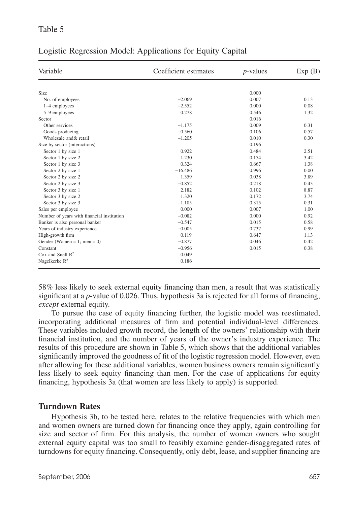# Table 5

| Variable                                   | Coefficient estimates | $p$ -values | Exp(B) |
|--------------------------------------------|-----------------------|-------------|--------|
|                                            |                       |             |        |
| Size                                       |                       | 0.000       |        |
| No. of employees                           | $-2.069$              | 0.007       | 0.13   |
| 1-4 employees                              | $-2.552$              | 0.000       | 0.08   |
| 5-9 employees                              | 0.278                 | 0.546       | 1.32   |
| Sector                                     |                       | 0.016       |        |
| Other services                             | $-1.175$              | 0.009       | 0.31   |
| Goods producing                            | $-0.560$              | 0.106       | 0.57   |
| Wholesale and & retail                     | $-1.205$              | 0.010       | 0.30   |
| Size by sector (interactions)              |                       | 0.196       |        |
| Sector 1 by size 1                         | 0.922                 | 0.484       | 2.51   |
| Sector 1 by size 2                         | 1.230                 | 0.154       | 3.42   |
| Sector 1 by size 3                         | 0.324                 | 0.667       | 1.38   |
| Sector 2 by size 1                         | $-16.486$             | 0.996       | 0.00   |
| Sector 2 by size 2                         | 1.359                 | 0.038       | 3.89   |
| Sector 2 by size 3                         | $-0.852$              | 0.218       | 0.43   |
| Sector 3 by size 1                         | 2.182                 | 0.102       | 8.87   |
| Sector 3 by size 2                         | 1.320                 | 0.172       | 3.74   |
| Sector 3 by size 3                         | $-1.185$              | 0.315       | 0.31   |
| Sales per employee                         | 0.000                 | 0.007       | 1.00   |
| Number of years with financial institution | $-0.082$              | 0.000       | 0.92   |
| Banker is also personal banker             | $-0.547$              | 0.015       | 0.58   |
| Years of industry experience               | $-0.005$              | 0.737       | 0.99   |
| High-growth firm                           | 0.119                 | 0.647       | 1.13   |
| Gender (Women = 1; men = 0)                | $-0.877$              | 0.046       | 0.42   |
| Constant                                   | $-0.956$              | 0.015       | 0.38   |
| Cox and Snell $R^2$                        | 0.049                 |             |        |
| Nagelkerke $R^2$                           | 0.186                 |             |        |

## Logistic Regression Model: Applications for Equity Capital

58% less likely to seek external equity financing than men, a result that was statistically significant at a *p*-value of 0.026. Thus, hypothesis 3a is rejected for all forms of financing, *except* external equity.

To pursue the case of equity financing further, the logistic model was reestimated, incorporating additional measures of firm and potential individual-level differences. These variables included growth record, the length of the owners' relationship with their financial institution, and the number of years of the owner's industry experience. The results of this procedure are shown in Table 5, which shows that the additional variables significantly improved the goodness of fit of the logistic regression model. However, even after allowing for these additional variables, women business owners remain significantly less likely to seek equity financing than men. For the case of applications for equity financing, hypothesis 3a (that women are less likely to apply) is supported.

#### **Turndown Rates**

Hypothesis 3b, to be tested here, relates to the relative frequencies with which men and women owners are turned down for financing once they apply, again controlling for size and sector of firm. For this analysis, the number of women owners who sought external equity capital was too small to feasibly examine gender-disaggregated rates of turndowns for equity financing. Consequently, only debt, lease, and supplier financing are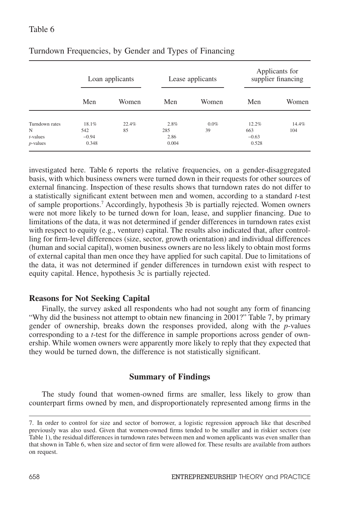|                |         | Loan applicants |       | Lease applicants |         | Applicants for<br>supplier financing |
|----------------|---------|-----------------|-------|------------------|---------|--------------------------------------|
|                | Men     | Women           | Men   | Women            | Men     | Women                                |
| Turndown rates | 18.1%   | 22.4%           | 2.8%  | $0.0\%$          | 12.2%   | 14.4%                                |
| N              | 542     | 85              | 285   | 39               | 663     | 104                                  |
| $t$ -values    | $-0.94$ |                 | 2.86  |                  | $-0.63$ |                                      |
| $p$ -values    | 0.348   |                 | 0.004 |                  | 0.528   |                                      |

Turndown Frequencies, by Gender and Types of Financing

investigated here. Table 6 reports the relative frequencies, on a gender-disaggregated basis, with which business owners were turned down in their requests for other sources of external financing. Inspection of these results shows that turndown rates do not differ to a statistically significant extent between men and women, according to a standard *t*-test of sample proportions.7 Accordingly, hypothesis 3b is partially rejected. Women owners were not more likely to be turned down for loan, lease, and supplier financing. Due to limitations of the data, it was not determined if gender differences in turndown rates exist with respect to equity (e.g., venture) capital. The results also indicated that, after controlling for firm-level differences (size, sector, growth orientation) and individual differences (human and social capital), women business owners are no less likely to obtain most forms of external capital than men once they have applied for such capital. Due to limitations of the data, it was not determined if gender differences in turndown exist with respect to equity capital. Hence, hypothesis 3c is partially rejected.

#### **Reasons for Not Seeking Capital**

Finally, the survey asked all respondents who had not sought any form of financing "Why did the business not attempt to obtain new financing in 2001?" Table 7, by primary gender of ownership, breaks down the responses provided, along with the *p*-values corresponding to a *t*-test for the difference in sample proportions across gender of ownership. While women owners were apparently more likely to reply that they expected that they would be turned down, the difference is not statistically significant.

### **Summary of Findings**

The study found that women-owned firms are smaller, less likely to grow than counterpart firms owned by men, and disproportionately represented among firms in the

<sup>7.</sup> In order to control for size and sector of borrower, a logistic regression approach like that described previously was also used. Given that women-owned firms tended to be smaller and in riskier sectors (see Table 1), the residual differences in turndown rates between men and women applicants was even smaller than that shown in Table 6, when size and sector of firm were allowed for. These results are available from authors on request.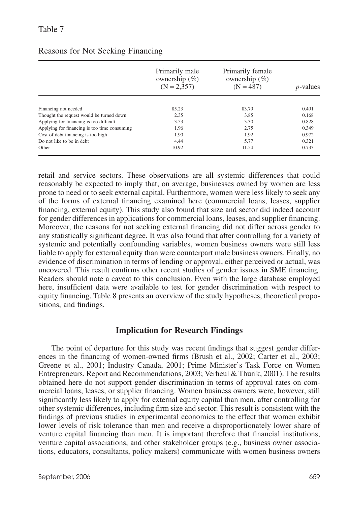|                                              | Primarily male<br>ownership $(\%)$<br>$(N = 2,357)$ | Primarily female<br>ownership $(\% )$<br>$(N = 487)$ | <i>p</i> -values |
|----------------------------------------------|-----------------------------------------------------|------------------------------------------------------|------------------|
|                                              |                                                     |                                                      |                  |
| Financing not needed                         | 85.23                                               | 83.79                                                | 0.491            |
| Thought the request would be turned down     | 2.35                                                | 3.85                                                 | 0.168            |
| Applying for financing is too difficult      | 3.53                                                | 3.30                                                 | 0.828            |
| Applying for financing is too time consuming | 1.96                                                | 2.75                                                 | 0.349            |
| Cost of debt financing is too high           | 1.90                                                | 1.92                                                 | 0.972            |
| Do not like to be in debt.                   | 4.44                                                | 5.77                                                 | 0.321            |
| Other                                        | 10.92                                               | 11.54                                                | 0.733            |

#### Reasons for Not Seeking Financing

retail and service sectors. These observations are all systemic differences that could reasonably be expected to imply that, on average, businesses owned by women are less prone to need or to seek external capital. Furthermore, women were less likely to seek any of the forms of external financing examined here (commercial loans, leases, supplier financing, external equity). This study also found that size and sector did indeed account for gender differences in applications for commercial loans, leases, and supplier financing. Moreover, the reasons for not seeking external financing did not differ across gender to any statistically significant degree. It was also found that after controlling for a variety of systemic and potentially confounding variables, women business owners were still less liable to apply for external equity than were counterpart male business owners. Finally, no evidence of discrimination in terms of lending or approval, either perceived or actual, was uncovered. This result confirms other recent studies of gender issues in SME financing. Readers should note a caveat to this conclusion. Even with the large database employed here, insufficient data were available to test for gender discrimination with respect to equity financing. Table 8 presents an overview of the study hypotheses, theoretical propositions, and findings.

#### **Implication for Research Findings**

The point of departure for this study was recent findings that suggest gender differences in the financing of women-owned firms (Brush et al., 2002; Carter et al., 2003; Greene et al., 2001; Industry Canada, 2001; Prime Minister's Task Force on Women Entrepreneurs, Report and Recommendations, 2003; Verheul & Thurik, 2001). The results obtained here do not support gender discrimination in terms of approval rates on commercial loans, leases, or supplier financing. Women business owners were, however, still significantly less likely to apply for external equity capital than men, after controlling for other systemic differences, including firm size and sector. This result is consistent with the findings of previous studies in experimental economics to the effect that women exhibit lower levels of risk tolerance than men and receive a disproportionately lower share of venture capital financing than men. It is important therefore that financial institutions, venture capital associations, and other stakeholder groups (e.g., business owner associations, educators, consultants, policy makers) communicate with women business owners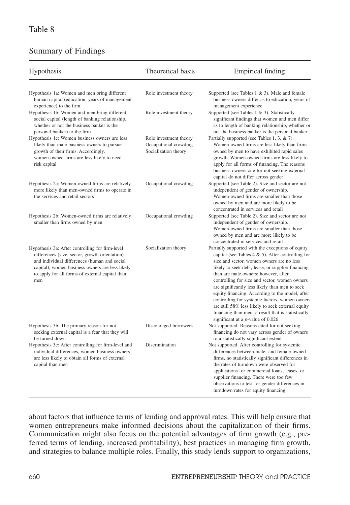# Summary of Findings

| Hypothesis                                                                                                                                                                                                                                                     | Theoretical basis                                                       | Empirical finding                                                                                                                                                                                                                                                                                                                                                                                                                                                                                                                                                                                           |
|----------------------------------------------------------------------------------------------------------------------------------------------------------------------------------------------------------------------------------------------------------------|-------------------------------------------------------------------------|-------------------------------------------------------------------------------------------------------------------------------------------------------------------------------------------------------------------------------------------------------------------------------------------------------------------------------------------------------------------------------------------------------------------------------------------------------------------------------------------------------------------------------------------------------------------------------------------------------------|
| Hypothesis 1a: Women and men bring different<br>human capital (education, years of management<br>experience) to the firm                                                                                                                                       | Role investment theory                                                  | Supported (see Tables $1 \& 3$ ). Male and female<br>business owners differ as to education, years of<br>management experience                                                                                                                                                                                                                                                                                                                                                                                                                                                                              |
| Hypothesis 1b: Women and men bring different<br>social capital (length of banking relationship,<br>whether or not the business banker is the<br>personal banker) to the firm                                                                                   | Role investment theory                                                  | Supported (see Tables 1 & 3). Statistically<br>significant findings that women and men differ<br>as to length of banking relationship, whether or<br>not the business banker is the personal banker                                                                                                                                                                                                                                                                                                                                                                                                         |
| Hypothesis 1c: Women business owners are less<br>likely than male business owners to pursue<br>growth of their firms. Accordingly,<br>women-owned firms are less likely to need<br>risk capital                                                                | Role investment theory<br>Occupational crowding<br>Socialization theory | Partially supported (see Tables 1, 3, & 7).<br>Women-owned firms are less likely than firms<br>owned by men to have exhibited rapid sales<br>growth. Women-owned firms are less likely to<br>apply for all forms of financing. The reasons<br>business owners cite for not seeking external<br>capital do not differ across gender                                                                                                                                                                                                                                                                          |
| Hypothesis 2a: Women-owned firms are relatively<br>more likely than men-owned firms to operate in<br>the services and retail sectors                                                                                                                           | Occupational crowding                                                   | Supported (see Table 2). Size and sector are not<br>independent of gender of ownership.<br>Women-owned firms are smaller than those<br>owned by men and are more likely to be<br>concentrated in services and retail                                                                                                                                                                                                                                                                                                                                                                                        |
| Hypothesis 2b: Women-owned firms are relatively<br>smaller than firms owned by men                                                                                                                                                                             | Occupational crowding                                                   | Supported (see Table 2). Size and sector are not<br>independent of gender of ownership.<br>Women-owned firms are smaller than those<br>owned by men and are more likely to be<br>concentrated in services and retail                                                                                                                                                                                                                                                                                                                                                                                        |
| Hypothesis 3a: After controlling for firm-level<br>differences (size, sector, growth orientation)<br>and individual differences (human and social<br>capital), women business owners are less likely<br>to apply for all forms of external capital than<br>men | Socialization theory                                                    | Partially supported with the exceptions of equity<br>capital (see Tables 4 & 5). After controlling for<br>size and sector, women owners are no less<br>likely to seek debt, lease, or supplier financing<br>than are male owners; however, after<br>controlling for size and sector, women owners<br>are significantly less likely than men to seek<br>equity financing. According to the model, after<br>controlling for systemic factors, women owners<br>are still 58% less likely to seek external equity<br>financing than men, a result that is statistically<br>significant at a $p$ -value of 0.026 |
| Hypothesis 3b: The primary reason for not<br>seeking external capital is a fear that they will<br>be turned down                                                                                                                                               | Discouraged borrowers                                                   | Not supported. Reasons cited for not seeking<br>financing do not vary across gender of owners<br>to a statistically significant extent                                                                                                                                                                                                                                                                                                                                                                                                                                                                      |
| Hypothesis 3c: After controlling for firm-level and<br>individual differences, women business owners<br>are less likely to obtain all forms of external<br>capital than men                                                                                    | Discrimination                                                          | Not supported. After controlling for systemic<br>differences between male- and female-owned<br>firms, no statistically significant differences in<br>the rates of turndown were observed for<br>applications for commercial loans, leases, or<br>supplier financing. There were too few<br>observations to test for gender differences in<br>turndown rates for equity financing                                                                                                                                                                                                                            |

about factors that influence terms of lending and approval rates. This will help ensure that women entrepreneurs make informed decisions about the capitalization of their firms. Communication might also focus on the potential advantages of firm growth (e.g., preferred terms of lending, increased profitability), best practices in managing firm growth, and strategies to balance multiple roles. Finally, this study lends support to organizations,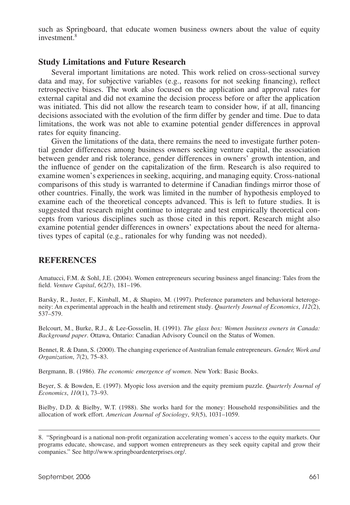such as Springboard, that educate women business owners about the value of equity investment.<sup>8</sup>

#### **Study Limitations and Future Research**

Several important limitations are noted. This work relied on cross-sectional survey data and may, for subjective variables (e.g., reasons for not seeking financing), reflect retrospective biases. The work also focused on the application and approval rates for external capital and did not examine the decision process before or after the application was initiated. This did not allow the research team to consider how, if at all, financing decisions associated with the evolution of the firm differ by gender and time. Due to data limitations, the work was not able to examine potential gender differences in approval rates for equity financing.

Given the limitations of the data, there remains the need to investigate further potential gender differences among business owners seeking venture capital, the association between gender and risk tolerance, gender differences in owners' growth intention, and the influence of gender on the capitalization of the firm. Research is also required to examine women's experiences in seeking, acquiring, and managing equity. Cross-national comparisons of this study is warranted to determine if Canadian findings mirror those of other countries. Finally, the work was limited in the number of hypothesis employed to examine each of the theoretical concepts advanced. This is left to future studies. It is suggested that research might continue to integrate and test empirically theoretical concepts from various disciplines such as those cited in this report. Research might also examine potential gender differences in owners' expectations about the need for alternatives types of capital (e.g., rationales for why funding was not needed).

#### **REFERENCES**

Amatucci, F.M. & Sohl, J.E. (2004). Women entrepreneurs securing business angel financing: Tales from the field. *Venture Capital*, *6*(2/3), 181–196.

Barsky, R., Juster, F., Kimball, M., & Shapiro, M. (1997). Preference parameters and behavioral heterogeneity: An experimental approach in the health and retirement study. *Quarterly Journal of Economics*, *112*(2), 537–579.

Belcourt, M., Burke, R.J., & Lee-Gosselin, H. (1991). *The glass box: Women business owners in Canada: Background paper*. Ottawa, Ontario: Canadian Advisory Council on the Status of Women.

Bennet, R. & Dann, S. (2000). The changing experience of Australian female entrepreneurs. *Gender, Work and Organization*, *7*(2), 75–83.

Bergmann, B. (1986). *The economic emergence of women*. New York: Basic Books.

Beyer, S. & Bowden, E. (1997). Myopic loss aversion and the equity premium puzzle. *Quarterly Journal of Economics*, *110*(1), 73–93.

Bielby, D.D. & Bielby, W.T. (1988). She works hard for the money: Household responsibilities and the allocation of work effort. *American Journal of Sociology*, *93*(5), 1031–1059.

<sup>8. &</sup>quot;Springboard is a national non-profit organization accelerating women's access to the equity markets. Our programs educate, showcase, and support women entrepreneurs as they seek equity capital and grow their companies." See<http://www.springboardenterprises.org>/.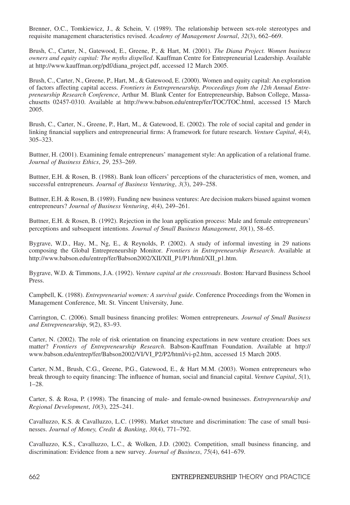Brenner, O.C., Tomkiewicz, J., & Schein, V. (1989). The relationship between sex-role stereotypes and requisite management characteristics revised. *Academy of Management Journal*, *32*(3), 662–669.

Brush, C., Carter, N., Gatewood, E., Greene, P., & Hart, M. (2001). *The Diana Project. Women business owners and equity capital: The myths dispelled*. Kauffman Centre for Entrepreneurial Leadership. Available at [http://www.kauffman.org/pdf/diana\\_project.pdf,](http://www.kauffman.org/pdf/diana_project.pdf) accessed 12 March 2005.

Brush, C., Carter, N., Greene, P., Hart, M., & Gatewood, E. (2000). Women and equity capital: An exploration of factors affecting capital access. *Frontiers in Entrepreneurship, Proceedings from the 12th Annual Entrepreneurship Research Conference*, Arthur M. Blank Center for Entrepreneurship, Babson College, Massachusetts 02457-0310. Available at [http://www.babson.edu/entrep/fer/TOC/TOC.html,](http://www.babson.edu/entrep/fer/TOC/TOC.html) accessed 15 March 2005.

Brush, C., Carter, N., Greene, P., Hart, M., & Gatewood, E. (2002). The role of social capital and gender in linking financial suppliers and entrepreneurial firms: A framework for future research. *Venture Capital*, *4*(4), 305–323.

Buttner, H. (2001). Examining female entrepreneurs' management style: An application of a relational frame. *Journal of Business Ethics*, *29*, 253–269.

Buttner, E.H. & Rosen, B. (1988). Bank loan officers' perceptions of the characteristics of men, women, and successful entrepreneurs. *Journal of Business Venturing*, *3*(3), 249–258.

Buttner, E.H. & Rosen, B. (1989). Funding new business ventures: Are decision makers biased against women entrepreneurs? *Journal of Business Venturing*, *4*(4), 249–261.

Buttner, E.H. & Rosen, B. (1992). Rejection in the loan application process: Male and female entrepreneurs' perceptions and subsequent intentions. *Journal of Small Business Management*, *30*(1), 58–65.

Bygrave, W.D., Hay, M., Ng, E., & Reynolds, P. (2002). A study of informal investing in 29 nations composing the Global Entrepreneurship Monitor. *Frontiers in Entrepreneurship Research*. Available at [http://www.babson.edu/entrep/fer/Babson2002/XII/XII\\_P1/P1/html/XII\\_p1.htm.](http://www.babson.edu/entrep/fer/Babson2002/XII/XII_P1/P1/html/XII_p1.htm)

Bygrave, W.D. & Timmons, J.A. (1992). *Venture capital at the crossroads*. Boston: Harvard Business School Press.

Campbell, K. (1988). *Entrepreneurial women: A survival guide*. Conference Proceedings from the Women in Management Conference, Mt. St. Vincent University, June.

Carrington, C. (2006). Small business financing profiles: Women entrepreneurs. *Journal of Small Business and Entrepreneurship*, *9*(2), 83–93.

Carter, N. (2002). The role of risk orientation on financing expectations in new venture creation: Does sex matter? *Frontiers of Entrepreneurship Research*. Babson-Kauffman Foundation. Available at [http://](http://www.babson.edu/entrep/fer/Babson2002/VI/VI_P2/P2/html/vi-p2.htm) [www.babson.edu/entrep/fer/Babson2002/VI/VI\\_P2/P2/html/vi-p2.htm,](http://www.babson.edu/entrep/fer/Babson2002/VI/VI_P2/P2/html/vi-p2.htm) accessed 15 March 2005.

Carter, N.M., Brush, C.G., Greene, P.G., Gatewood, E., & Hart M.M. (2003). Women entrepreneurs who break through to equity financing: The influence of human, social and financial capital. *Venture Capital*, *5*(1), 1–28.

Carter, S. & Rosa, P. (1998). The financing of male- and female-owned businesses. *Entrepreneurship and Regional Development*, *10*(3), 225–241.

Cavalluzzo, K.S. & Cavalluzzo, L.C. (1998). Market structure and discrimination: The case of small businesses. *Journal of Money, Credit & Banking*, *30*(4), 771–792.

Cavalluzzo, K.S., Cavalluzzo, L.C., & Wolken, J.D. (2002). Competition, small business financing, and discrimination: Evidence from a new survey. *Journal of Business*, *75*(4), 641–679.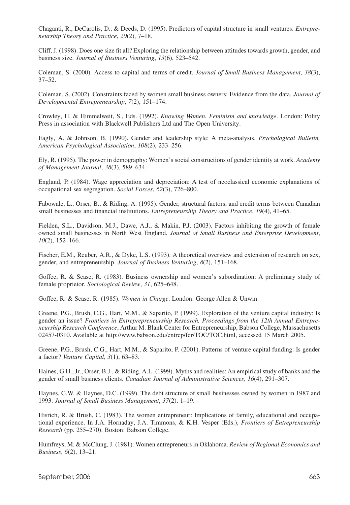Chaganti, R., DeCarolis, D., & Deeds, D. (1995). Predictors of capital structure in small ventures. *Entrepreneurship Theory and Practice*, *20*(2), 7–18.

Cliff, J. (1998). Does one size fit all? Exploring the relationship between attitudes towards growth, gender, and business size. *Journal of Business Venturing*, *13*(6), 523–542.

Coleman, S. (2000). Access to capital and terms of credit. *Journal of Small Business Management*, *38*(3), 37–52.

Coleman, S. (2002). Constraints faced by women small business owners: Evidence from the data. *Journal of Developmental Entrepreneurship*, *7*(2), 151–174.

Crowley, H. & Himmelweit, S., Eds. (1992). *Knowing Women. Feminism and knowledge*. London: Polity Press in association with Blackwell Publishers Ltd and The Open University.

Eagly, A. & Johnson, B. (1990). Gender and leadership style: A meta-analysis. *Psychological Bulletin, American Psychological Association*, *108*(2), 233–256.

Ely, R. (1995). The power in demography: Women's social constructions of gender identity at work. *Academy of Management Journal*, *38*(3), 589–634.

England, P. (1984). Wage appreciation and depreciation: A test of neoclassical economic explanations of occupational sex segregation. *Social Forces*, *62*(3), 726–800.

Fabowale, L., Orser, B., & Riding, A. (1995). Gender, structural factors, and credit terms between Canadian small businesses and financial institutions. *Entrepreneurship Theory and Practice*, *19*(4), 41–65.

Fielden, S.L., Davidson, M.J., Dawe, A.J., & Makin, P.J. (2003). Factors inhibiting the growth of female owned small businesses in North West England. *Journal of Small Business and Enterprise Development*, *10*(2), 152–166.

Fischer, E.M., Reuber, A.R., & Dyke, L.S. (1993). A theoretical overview and extension of research on sex, gender, and entrepreneurship. *Journal of Business Venturing*, *8*(2), 151–168.

Goffee, R. & Scase, R. (1983). Business ownership and women's subordination: A preliminary study of female proprietor. *Sociological Review*, *31*, 625–648.

Goffee, R. & Scase, R. (1985). *Women in Charge*. London: George Allen & Unwin.

Greene, P.G., Brush, C.G., Hart, M.M., & Saparito, P. (1999). Exploration of the venture capital industry: Is gender an issue? *Frontiers in Entreprepreneurship Research, Proceedings from the 12th Annual Entrepreneurship Research Conference*, Arthur M. Blank Center for Entrepreneurship, Babson College, Massachusetts 02457-0310. Available at [http://www.babson.edu/entrep/fer/TOC/TOC.html,](http://www.babson.edu/entrep/fer/TOC/TOC.html) accessed 15 March 2005.

Greene, P.G., Brush, C.G., Hart, M.M., & Saparito, P. (2001). Patterns of venture capital funding: Is gender a factor? *Venture Capital*, *3*(1), 63–83.

Haines, G.H., Jr., Orser, B.J., & Riding, A.L. (1999). Myths and realities: An empirical study of banks and the gender of small business clients. *Canadian Journal of Administrative Sciences*, *16*(4), 291–307.

Haynes, G.W. & Haynes, D.C. (1999). The debt structure of small businesses owned by women in 1987 and 1993. *Journal of Small Business Management*, *37*(2), 1–19.

Hisrich, R. & Brush, C. (1983). The women entrepreneur: Implications of family, educational and occupational experience. In J.A. Hornaday, J.A. Timmons, & K.H. Vesper (Eds.), *Frontiers of Entrepreneurship Research* (pp. 255–270). Boston: Babson College.

Humfreys, M. & McClung, J. (1981). Women entrepreneurs in Oklahoma. *Review of Regional Economics and Business*, *6*(2), 13–21.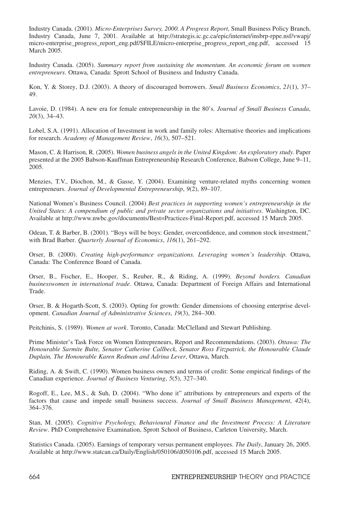Industry Canada. (2001). *Micro-Enterprises Survey, 2000. A Progress Report*, Small Business Policy Branch, Industry Canada, June 7, 2001. Available at [http://strategis.ic.gc.ca/epic/internet/insbrp-rppe.nsf/vwapj/](http://strategis.ic.gc.ca/epic/internet/insbrp-rppe.nsf/vwapj) micro-enterprise\_progress\_report\_eng.pdf/\$FILE/micro-enterprise\_progress\_report\_eng.pdf, accessed 15 March 2005.

Industry Canada. (2005). *Summary report from sustaining the momentum. An economic forum on women entrepreneurs*. Ottawa, Canada: Sprott School of Business and Industry Canada.

Kon, Y. & Storey, D.J. (2003). A theory of discouraged borrowers. *Small Business Economics*, *21*(1), 37– 49.

Lavoie, D. (1984). A new era for female entrepreneurship in the 80's. *Journal of Small Business Canada*, *20*(3), 34–43.

Lobel, S.A. (1991). Allocation of Investment in work and family roles: Alternative theories and implications for research. *Academy of Management Review*, *16*(3), 507–521.

Mason, C. & Harrison, R. (2005). *Women business angels in the United Kingdom: An exploratory study*. Paper presented at the 2005 Babson-Kauffman Entrepreneurship Research Conference, Babson College, June 9–11, 2005.

Menzies, T.V., Diochon, M., & Gasse, Y. (2004). Examining venture-related myths concerning women entrepreneurs. *Journal of Developmental Entrepreneurship*, *9*(2), 89–107.

National Women's Business Council. (2004) *Best practices in supporting women's entrepreneurship in the United States: A compendium of public and private sector organizations and initiatives*. Washington, DC. Available at [http://www.nwbc.gov/documents/Best=Practices-Final-Report.pdf,](http://www.nwbc.gov/documents/Best=Practices-Final-Report.pdf) accessed 15 March 2005.

Odean, T. & Barber, B. (2001). "Boys will be boys: Gender, overconfidence, and common stock investment," with Brad Barber. *Quarterly Journal of Economics*, *116*(1), 261–292.

Orser, B. (2000). *Creating high-performance organizations. Leveraging women's leadership*. Ottawa, Canada: The Conference Board of Canada.

Orser, B., Fischer, E., Hooper, S., Reuber, R., & Riding, A. (1999). *Beyond borders. Canadian businesswomen in international trade*. Ottawa, Canada: Department of Foreign Affairs and International Trade.

Orser, B. & Hogarth-Scott, S. (2003). Opting for growth: Gender dimensions of choosing enterprise development. *Canadian Journal of Administrative Sciences*, *19*(3), 284–300.

Peitchinis, S. (1989). *Women at work*. Toronto, Canada: McClelland and Stewart Publishing.

Prime Minister's Task Force on Women Entrepreneurs, Report and Recommendations. (2003). *Ottawa: The Honourable Sarmite Bulte, Senator Catherine Callbeck, Senator Ross Fitzpatrick, the Honourable Claude Duplain, The Honourable Karen Redman and Adrina Lever*, Ottawa, March.

Riding, A. & Swift, C. (1990). Women business owners and terms of credit: Some empirical findings of the Canadian experience. *Journal of Business Venturing*, *5*(5), 327–340.

Rogoff, E., Lee, M.S., & Suh, D. (2004). "Who done it" attributions by entrepreneurs and experts of the factors that cause and impede small business success. *Journal of Small Business Management*, *42*(4), 364–376.

Stan, M. (2005). *Cognitive Psychology, Behavioural Finance and the Investment Process: A Literature Review*. PhD Comprehensive Examination, Sprott School of Business, Carleton University, March.

Statistics Canada. (2005). Earnings of temporary versus permanent employees. *The Daily*, January 26, 2005. Available at [http://www.statcan.ca/Daily/English/050106/d050106.pdf,](http://www.statcan.ca/Daily/English/050106/d050106.pdf) accessed 15 March 2005.